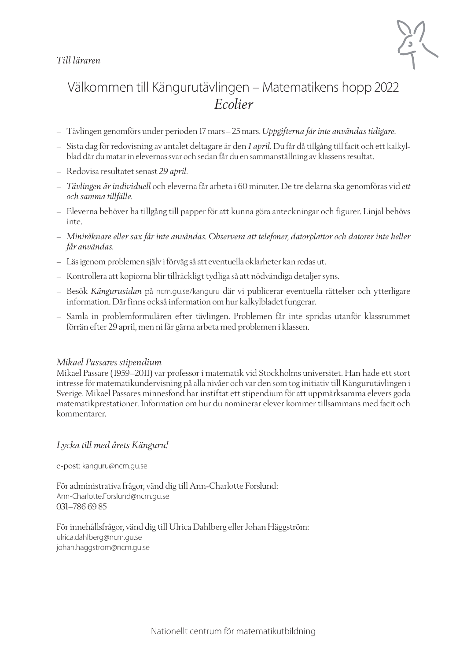#### *Till läraren*



### Välkommen till Kängurutävlingen – Matematikens hopp 2022 *Ecolier*

- Tävlingen genomförs under perioden 17 mars–25 mars. *Uppgifterna får inte användas tidigare*.
- Sista dag för redovisning av antalet deltagare är den *1 april.* Du får då tillgång till facit och ett kalkylblad där du matar in elevernas svar och sedan får du en sammanställning av klassens resultat.
- Redovisa resultatet senast *29 april.*
- *Tävlingen är individuell* och eleverna får arbeta i 60 minuter. De tre delarna ska genomföras vid *ett och samma tillfälle.*
- Eleverna behöver ha tillgång till papper för att kunna göra anteckningar och figurer. Linjal behövs inte.
- *Miniräknare eller sax får inte användas. Observera att telefoner, datorplattor och datorer inte heller får användas.*
- Läs igenom problemen själv i förväg så att eventuella oklarheter kan redas ut.
- Kontrollera att kopiorna blir tillräckligt tydliga så att nödvändiga detaljer syns.
- Besök *Kängurusidan* på ncm.gu.se/kanguru där vi publicerar eventuella rättelser och ytterligare information. Där finns också information om hur kalkylbladet fungerar.
- Samla in problemformulären efter tävlingen. Problemen får inte spridas utanför klassrummet förrän efter 29 april, men ni får gärna arbeta med problemen i klassen.

#### *Mikael Passares stipendium*

Mikael Passare (1959–2011) var professor i matematik vid Stockholms universitet. Han hade ett stort intresse för matematikundervisning på alla nivåer och var den som tog initiativ till Kängurutävlingen i Sverige. Mikael Passares minnesfond har instiftat ett stipendium för att uppmärksamma elevers goda matematikprestationer. Information om hur du nominerar elever kommer tillsammans med facit och kommentarer.

#### *Lycka till med årets Känguru!*

e-post: kanguru@ncm.gu.se

För administrativa frågor, vänd dig till Ann-Charlotte Forslund: Ann-Charlotte.Forslund@ncm.gu.se 031–786 69 85

För innehållsfrågor, vänd dig till Ulrica Dahlberg eller Johan Häggström: ulrica.dahlberg@ncm.gu.se johan.haggstrom@ncm.gu.se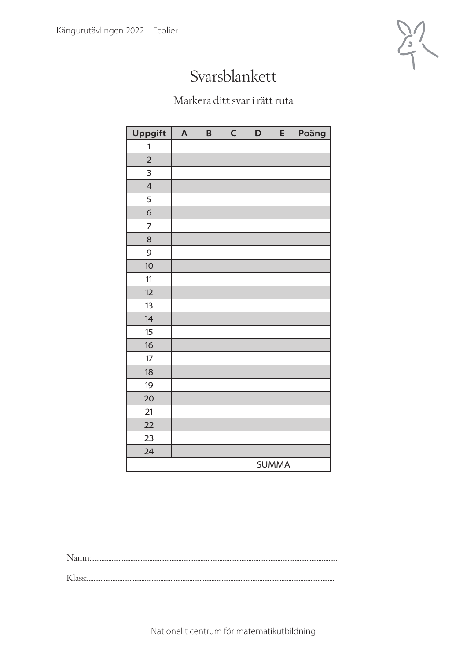

## Svarsblankett

### Markera ditt svar i rätt ruta

| Uppgift        | $\overline{\mathsf{A}}$ | B | $\mathsf C$ | D | E | Poäng |
|----------------|-------------------------|---|-------------|---|---|-------|
| 1              |                         |   |             |   |   |       |
| $\overline{2}$ |                         |   |             |   |   |       |
| 3              |                         |   |             |   |   |       |
| $\overline{4}$ |                         |   |             |   |   |       |
| 5              |                         |   |             |   |   |       |
| $\sigma$       |                         |   |             |   |   |       |
| $\overline{7}$ |                         |   |             |   |   |       |
| 8              |                         |   |             |   |   |       |
| 9              |                         |   |             |   |   |       |
| 10             |                         |   |             |   |   |       |
| 11             |                         |   |             |   |   |       |
| 12             |                         |   |             |   |   |       |
| 13             |                         |   |             |   |   |       |
| 14             |                         |   |             |   |   |       |
| 15             |                         |   |             |   |   |       |
| 16             |                         |   |             |   |   |       |
| 17             |                         |   |             |   |   |       |
| 18             |                         |   |             |   |   |       |
| 19             |                         |   |             |   |   |       |
| 20             |                         |   |             |   |   |       |
| 21             |                         |   |             |   |   |       |
| 22             |                         |   |             |   |   |       |
| 23             |                         |   |             |   |   |       |
| 24             |                         |   |             |   |   |       |
| <b>SUMMA</b>   |                         |   |             |   |   |       |

Namn:.................................................................................................................................................

Klass:.................................................................................................................................................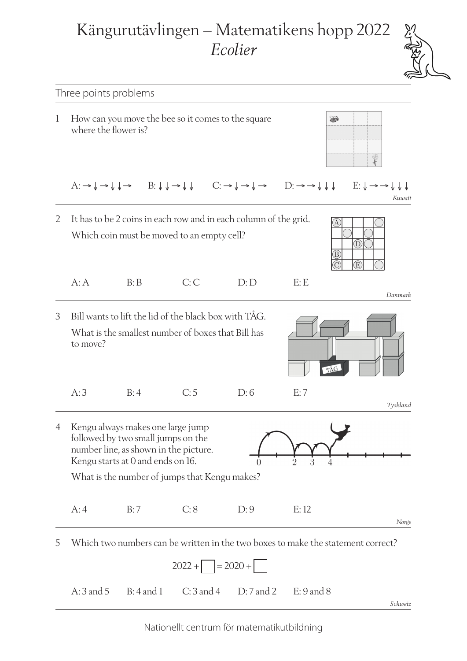# Kängurutävlingen – Matematikens hopp 2022 *Ecolier*



*Schweiz*

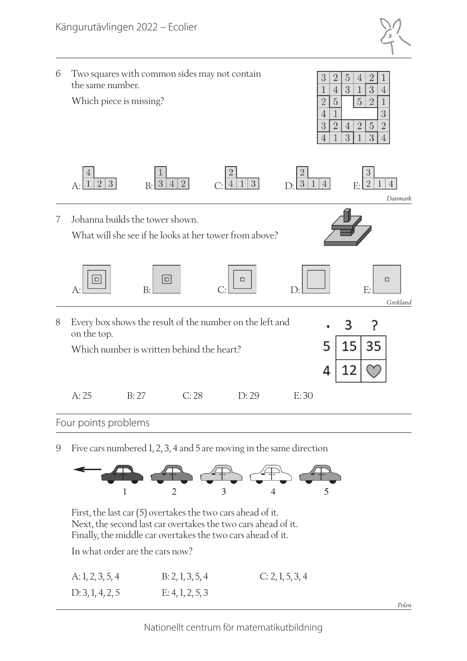



9 Five cars numbered 1, 2, 3, 4 and 5 are moving in the same direction



First, the last car (5) overtakes the two cars ahead of it. Next, the second last car overtakes the two cars ahead of it. Finally, the middle car overtakes the two cars ahead of it.

In what order are the cars now?

| A: 1, 2, 3, 5, 4 | B: 2, 1, 3, 5, 4 | C: 2, 1, 5, 3, 4 |
|------------------|------------------|------------------|
| D: 3, 1, 4, 2, 5 | E: 4, 1, 2, 5, 3 |                  |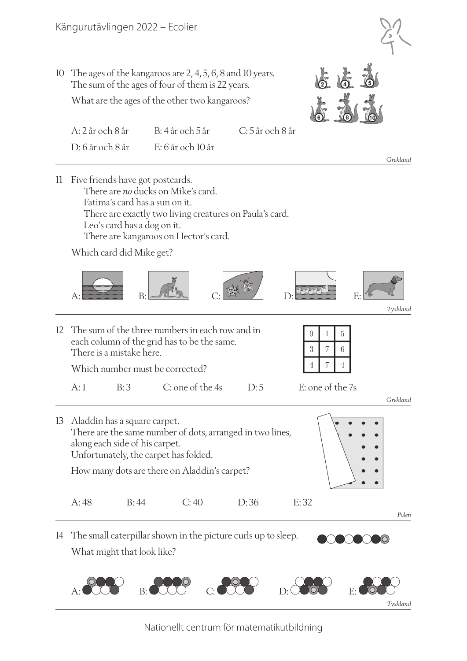

*Polen*

 $\chi_{\text{O}}$ 

10 The ages of the kangaroos are 2, 4, 5, 6, 8 and 10 years. The sum of the ages of four of them is 22 years.

What are the ages of the other two kangaroos?

| A: 2 år och 8 år |                   |          |
|------------------|-------------------|----------|
| D: 6 år och 8 år | E: 6 år och 10 år |          |
|                  |                   | Grekland |

11 Five friends have got postcards. There are *no* ducks on Mike's card. Fatima's card has a sun on it. There are exactly two living creatures on Paula's card. Leo's card has a dog on it. There are kangaroos on Hector's card.

Which card did Mike get?



|  | 12 The sum of the three numbers in each row and in<br>each column of the grid has to be the same. |                                 |     |  |                  |  |
|--|---------------------------------------------------------------------------------------------------|---------------------------------|-----|--|------------------|--|
|  | There is a mistake here.                                                                          |                                 |     |  |                  |  |
|  |                                                                                                   | Which number must be corrected? |     |  |                  |  |
|  | B:3                                                                                               | C: one of the 4s                | D:5 |  | E: one of the 7s |  |

*Grekland* 13 Aladdin has a square carpet. There are the same number of dots, arranged in two lines, along each side of his carpet. Unfortunately, the carpet has folded. How many dots are there on Aladdin's carpet? A: 48 B: 44 C: 40 D: 36 E: 32

14 The small caterpillar shown in the picture curls up to sleep. What might that look like?

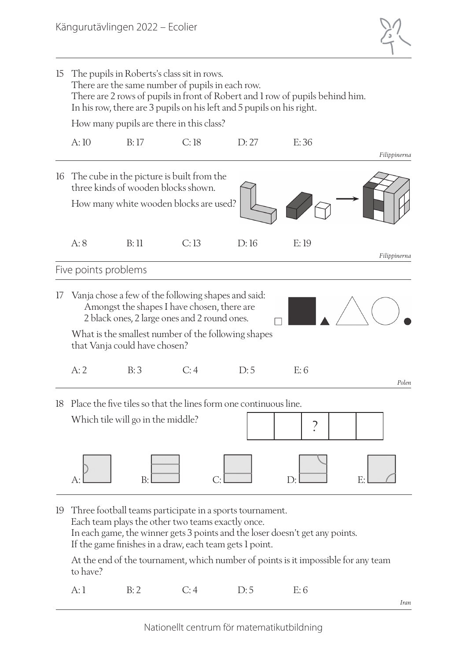

| 15 | The pupils in Roberts's class sit in rows.<br>There are the same number of pupils in each row.<br>There are 2 rows of pupils in front of Robert and 1 row of pupils behind him.<br>In his row, there are 3 pupils on his left and 5 pupils on his right. |                                                                                                                            |      |                                                                  |                          |              |  |
|----|----------------------------------------------------------------------------------------------------------------------------------------------------------------------------------------------------------------------------------------------------------|----------------------------------------------------------------------------------------------------------------------------|------|------------------------------------------------------------------|--------------------------|--------------|--|
|    | How many pupils are there in this class?                                                                                                                                                                                                                 |                                                                                                                            |      |                                                                  |                          |              |  |
|    | A:10                                                                                                                                                                                                                                                     | B:17                                                                                                                       | C:18 | D:27                                                             | E:36                     | Filippinerna |  |
| 16 |                                                                                                                                                                                                                                                          | The cube in the picture is built from the<br>three kinds of wooden blocks shown.<br>How many white wooden blocks are used? |      |                                                                  |                          |              |  |
|    | A:8                                                                                                                                                                                                                                                      | B:11                                                                                                                       | C:13 | D:16                                                             | E:19                     | Filippinerna |  |
|    | Five points problems                                                                                                                                                                                                                                     |                                                                                                                            |      |                                                                  |                          |              |  |
| 17 | Vanja chose a few of the following shapes and said:<br>Amongst the shapes I have chosen, there are<br>2 black ones, 2 large ones and 2 round ones.<br>What is the smallest number of the following shapes<br>that Vanja could have chosen?               |                                                                                                                            |      |                                                                  |                          |              |  |
|    | A:2                                                                                                                                                                                                                                                      | B:3                                                                                                                        | C:4  | D:5                                                              | E:6                      | Polen        |  |
| 18 |                                                                                                                                                                                                                                                          | Which tile will go in the middle?                                                                                          |      | Place the five tiles so that the lines form one continuous line. | $\overline{\phantom{a}}$ |              |  |
|    |                                                                                                                                                                                                                                                          | B:                                                                                                                         |      |                                                                  | D:                       | E:           |  |
|    |                                                                                                                                                                                                                                                          |                                                                                                                            |      |                                                                  |                          |              |  |

19 Three football teams participate in a sports tournament. Each team plays the other two teams exactly once. In each game, the winner gets 3 points and the loser doesn't get any points. If the game finishes in a draw, each team gets 1 point.

At the end of the tournament, which number of points is it impossible for any team to have?

A: 1 B: 2 C: 4 D: 5 E: 6